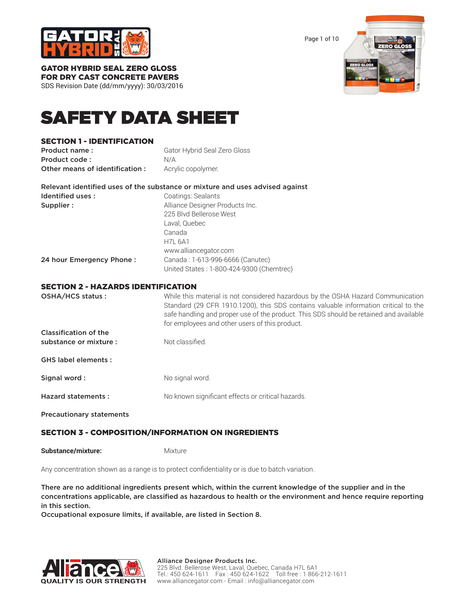

Page 1 of 10



#### GATOR HYBRID SEAL ZERO GLOSS FOR DRY CAST CONCRETE PAVERS

SDS Revision Date (dd/mm/yyyy): 30/03/2016

# SAFETY DATA SHEET

## SECTION 1 - IDENTIFICATION

**Product name:** Gator Hybrid Seal Zero Gloss Product code : N/A Other means of identification : Acrylic copolymer.

|                          | Relevant identified uses of the substance or mixture and uses advised against |  |
|--------------------------|-------------------------------------------------------------------------------|--|
| Identified uses:         | Coatings: Sealants                                                            |  |
| Supplier:                | Alliance Designer Products Inc.                                               |  |
|                          | 225 Blvd Bellerose West                                                       |  |
|                          | Laval, Quebec                                                                 |  |
|                          | Canada                                                                        |  |
|                          | <b>H7L 6A1</b>                                                                |  |
|                          | www.alliancegator.com                                                         |  |
| 24 hour Emergency Phone: | Canada: 1-613-996-6666 (Canutec)                                              |  |
|                          | United States: 1-800-424-9300 (Chemtrec)                                      |  |

## SECTION 2 - HAZARDS IDENTIFICATION

| OSHA/HCS status:             | While this material is not considered hazardous by the OSHA Hazard Communication<br>Standard (29 CFR 1910.1200), this SDS contains valuable information critical to the<br>safe handling and proper use of the product. This SDS should be retained and available<br>for employees and other users of this product. |
|------------------------------|---------------------------------------------------------------------------------------------------------------------------------------------------------------------------------------------------------------------------------------------------------------------------------------------------------------------|
| <b>Classification of the</b> |                                                                                                                                                                                                                                                                                                                     |
| substance or mixture :       | Not classified.                                                                                                                                                                                                                                                                                                     |
| <b>GHS label elements:</b>   |                                                                                                                                                                                                                                                                                                                     |
| Signal word:                 | No signal word.                                                                                                                                                                                                                                                                                                     |
| <b>Hazard statements:</b>    | No known significant effects or critical hazards.                                                                                                                                                                                                                                                                   |
|                              |                                                                                                                                                                                                                                                                                                                     |

Precautionary statements

# SECTION 3 - COMPOSITION/INFORMATION ON INGREDIENTS

**Substance/mixture:** Mixture

Any concentration shown as a range is to protect confidentiality or is due to batch variation.

There are no additional ingredients present which, within the current knowledge of the supplier and in the concentrations applicable, are classified as hazardous to health or the environment and hence require reporting in this section.

Occupational exposure limits, if available, are listed in Section 8.

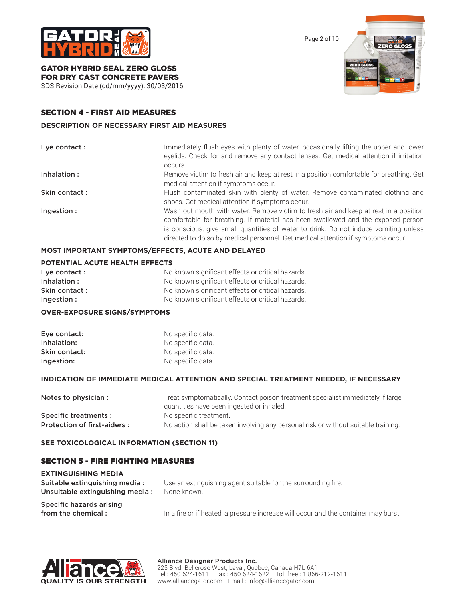

Page 2 of 10



GATOR HYBRID SEAL ZERO GLOSS FOR DRY CAST CONCRETE PAVERS

SDS Revision Date (dd/mm/yyyy): 30/03/2016

## SECTION 4 - FIRST AID MEASURES

#### **DESCRIPTION OF NECESSARY FIRST AID MEASURES**

| Eye contact : | Immediately flush eyes with plenty of water, occasionally lifting the upper and lower<br>eyelids. Check for and remove any contact lenses. Get medical attention if irritation<br>occurs.                                                                                                                                                            |
|---------------|------------------------------------------------------------------------------------------------------------------------------------------------------------------------------------------------------------------------------------------------------------------------------------------------------------------------------------------------------|
| Inhalation:   | Remove victim to fresh air and keep at rest in a position comfortable for breathing. Get<br>medical attention if symptoms occur.                                                                                                                                                                                                                     |
| Skin contact: | Flush contaminated skin with plenty of water. Remove contaminated clothing and<br>shoes. Get medical attention if symptoms occur.                                                                                                                                                                                                                    |
| Ingestion:    | Wash out mouth with water. Remove victim to fresh air and keep at rest in a position<br>comfortable for breathing. If material has been swallowed and the exposed person<br>is conscious, give small quantities of water to drink. Do not induce vomiting unless<br>directed to do so by medical personnel. Get medical attention if symptoms occur. |

## **MOST IMPORTANT SYMPTOMS/EFFECTS, ACUTE AND DELAYED**

## **POTENTIAL ACUTE HEALTH EFFECTS**

| Eye contact : | No known significant effects or critical hazards. |
|---------------|---------------------------------------------------|
| Inhalation:   | No known significant effects or critical hazards. |
| Skin contact: | No known significant effects or critical hazards. |
| Ingestion:    | No known significant effects or critical hazards. |

## **OVER-EXPOSURE SIGNS/SYMPTOMS**

| Eye contact:  | No specific data. |
|---------------|-------------------|
| Inhalation:   | No specific data. |
| Skin contact: | No specific data. |
| Ingestion:    | No specific data. |

## **INDICATION OF IMMEDIATE MEDICAL ATTENTION AND SPECIAL TREATMENT NEEDED, IF NECESSARY**

| Notes to physician :        | Treat symptomatically. Contact poison treatment specialist immediately if large    |  |
|-----------------------------|------------------------------------------------------------------------------------|--|
|                             | quantities have been ingested or inhaled.                                          |  |
| Specific treatments:        | No specific treatment.                                                             |  |
| Protection of first-aiders: | No action shall be taken involving any personal risk or without suitable training. |  |

## **SEE TOXICOLOGICAL INFORMATION (SECTION 11)**

## SECTION 5 - FIRE FIGHTING MEASURES

| <b>EXTINGUISHING MEDIA</b>                                       |                                                                                     |  |
|------------------------------------------------------------------|-------------------------------------------------------------------------------------|--|
| Suitable extinguishing media:<br>Unsuitable extinguishing media: | Use an extinguishing agent suitable for the surrounding fire.<br>None known.        |  |
| Specific hazards arising<br>from the chemical:                   | In a fire or if heated, a pressure increase will occur and the container may burst. |  |

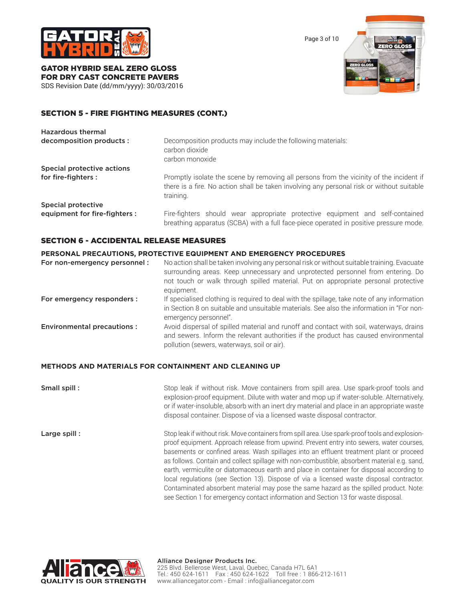

Page 3 of 10



GATOR HYBRID SEAL ZERO GLOSS FOR DRY CAST CONCRETE PAVERS SDS Revision Date (dd/mm/yyyy): 30/03/2016

## SECTION 5 - FIRE FIGHTING MEASURES (CONT.)

| <b>Hazardous thermal</b>      |                                                                                                                                                                                                   |  |
|-------------------------------|---------------------------------------------------------------------------------------------------------------------------------------------------------------------------------------------------|--|
| decomposition products :      | Decomposition products may include the following materials:<br>carbon dioxide<br>carbon monoxide                                                                                                  |  |
| Special protective actions    |                                                                                                                                                                                                   |  |
| for fire-fighters :           | Promptly isolate the scene by removing all persons from the vicinity of the incident if<br>there is a fire. No action shall be taken involving any personal risk or without suitable<br>training. |  |
| Special protective            |                                                                                                                                                                                                   |  |
| equipment for fire-fighters : | Fire-fighters should wear appropriate protective equipment and self-contained<br>breathing apparatus (SCBA) with a full face-piece operated in positive pressure mode.                            |  |

#### SECTION 6 - ACCIDENTAL RELEASE MEASURES

#### **PERSONAL PRECAUTIONS, PROTECTIVE EQUIPMENT AND EMERGENCY PROCEDURES**

| For non-emergency personnel:      | No action shall be taken involving any personal risk or without suitable training. Evacuate<br>surrounding areas. Keep unnecessary and unprotected personnel from entering. Do<br>not touch or walk through spilled material. Put on appropriate personal protective<br>equipment. |
|-----------------------------------|------------------------------------------------------------------------------------------------------------------------------------------------------------------------------------------------------------------------------------------------------------------------------------|
| For emergency responders :        | If specialised clothing is required to deal with the spillage, take note of any information<br>in Section 8 on suitable and unsuitable materials. See also the information in "For non-<br>emergency personnel".                                                                   |
| <b>Environmental precautions:</b> | Avoid dispersal of spilled material and runoff and contact with soil, waterways, drains<br>and sewers. Inform the relevant authorities if the product has caused environmental<br>pollution (sewers, waterways, soil or air).                                                      |

#### **METHODS AND MATERIALS FOR CONTAINMENT AND CLEANING UP**

**Small spill :** Stop leak if without risk. Move containers from spill area. Use spark-proof tools and explosion-proof equipment. Dilute with water and mop up if water-soluble. Alternatively, or if water-insoluble, absorb with an inert dry material and place in an appropriate waste disposal container. Dispose of via a licensed waste disposal contractor. Large spill : Stop leak if without risk. Move containers from spill area. Use spark-proof tools and explosion-

proof equipment. Approach release from upwind. Prevent entry into sewers, water courses, basements or confined areas. Wash spillages into an effluent treatment plant or proceed as follows. Contain and collect spillage with non-combustible, absorbent material e.g. sand, earth, vermiculite or diatomaceous earth and place in container for disposal according to local regulations (see Section 13). Dispose of via a licensed waste disposal contractor. Contaminated absorbent material may pose the same hazard as the spilled product. Note: see Section 1 for emergency contact information and Section 13 for waste disposal.

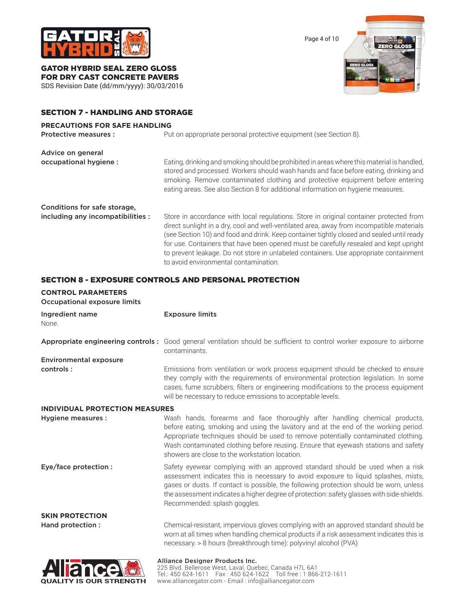

GATOR HYBRID SEAL ZERO GLOSS FOR DRY CAST CONCRETE PAVERS

SDS Revision Date (dd/mm/yyyy): 30/03/2016

## SECTION 7 - HANDLING AND STORAGE

#### **PRECAUTIONS FOR SAFE HANDLING**



## SECTION 8 - EXPOSURE CONTROLS AND PERSONAL PROTECTION

| <b>CONTROL PARAMETERS</b><br><b>Occupational exposure limits</b> |                                                                                                                                                                                                                                                                                                                                                                                                 |
|------------------------------------------------------------------|-------------------------------------------------------------------------------------------------------------------------------------------------------------------------------------------------------------------------------------------------------------------------------------------------------------------------------------------------------------------------------------------------|
| Ingredient name<br>None.                                         | <b>Exposure limits</b>                                                                                                                                                                                                                                                                                                                                                                          |
|                                                                  | Appropriate engineering controls: Good general ventilation should be sufficient to control worker exposure to airborne<br>contaminants.                                                                                                                                                                                                                                                         |
| <b>Environmental exposure</b>                                    |                                                                                                                                                                                                                                                                                                                                                                                                 |
| controls:                                                        | Emissions from ventilation or work process equipment should be checked to ensure<br>they comply with the requirements of environmental protection legislation. In some<br>cases, fume scrubbers, filters or engineering modifications to the process equipment<br>will be necessary to reduce emissions to acceptable levels.                                                                   |
| <b>INDIVIDUAL PROTECTION MEASURES</b>                            |                                                                                                                                                                                                                                                                                                                                                                                                 |
| Hygiene measures :                                               | Wash hands, forearms and face thoroughly after handling chemical products,<br>before eating, smoking and using the lavatory and at the end of the working period.<br>Appropriate techniques should be used to remove potentially contaminated clothing.<br>Wash contaminated clothing before reusing. Ensure that eyewash stations and safety<br>showers are close to the workstation location. |
| Eye/face protection :                                            | Safety eyewear complying with an approved standard should be used when a risk<br>assessment indicates this is necessary to avoid exposure to liquid splashes, mists,<br>gases or dusts. If contact is possible, the following protection should be worn, unless<br>the assessment indicates a higher degree of protection: safety glasses with side-shields.<br>Recommended: splash goggles.    |
| <b>SKIN PROTECTION</b>                                           |                                                                                                                                                                                                                                                                                                                                                                                                 |
| Hand protection :                                                | Chemical-resistant, impervious gloves complying with an approved standard should be<br>worn at all times when handling chemical products if a risk assessment indicates this is<br>necessary. > 8 hours (breakthrough time): polyvinyl alcohol (PVA)                                                                                                                                            |
| كحك                                                              | Alliance Designer Products Inc.                                                                                                                                                                                                                                                                                                                                                                 |



225 Blvd. Bellerose West, Laval, Quebec, Canada H7L 6A1 Tel.: 450 624-1611 Fax : 450 624-1622 Toll free : 1 866-212-1611 www.alliancegator.com - Email : info@alliancegator.com

Page 4 of 10

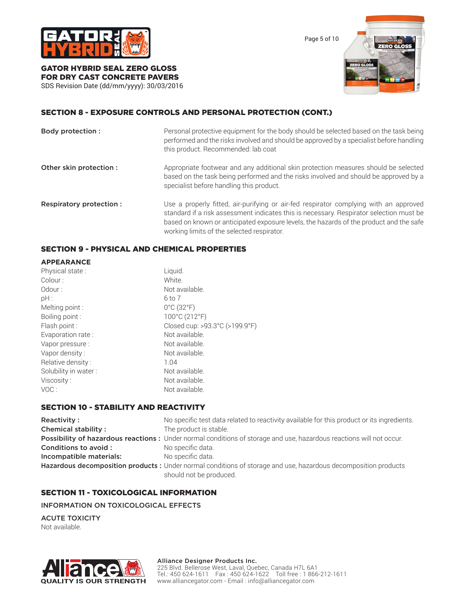

Page 5 of 10



# GATOR HYBRID SEAL ZERO GLOSS FOR DRY CAST CONCRETE PAVERS

SDS Revision Date (dd/mm/yyyy): 30/03/2016

## SECTION 8 - EXPOSURE CONTROLS AND PERSONAL PROTECTION (CONT.)

| Body protection :        | Personal protective equipment for the body should be selected based on the task being<br>performed and the risks involved and should be approved by a specialist before handling<br>this product. Recommended: lab coat                                                                                                  |
|--------------------------|--------------------------------------------------------------------------------------------------------------------------------------------------------------------------------------------------------------------------------------------------------------------------------------------------------------------------|
| Other skin protection :  | Appropriate footwear and any additional skin protection measures should be selected<br>based on the task being performed and the risks involved and should be approved by a<br>specialist before handling this product.                                                                                                  |
| Respiratory protection : | Use a properly fitted, air-purifying or air-fed respirator complying with an approved<br>standard if a risk assessment indicates this is necessary. Respirator selection must be<br>based on known or anticipated exposure levels, the hazards of the product and the safe<br>working limits of the selected respirator. |

## SECTION 9 - PHYSICAL AND CHEMICAL PROPERTIES

| <b>APPEARANCE</b>    |                                 |
|----------------------|---------------------------------|
| Physical state:      | Liquid.                         |
| Colour:              | White.                          |
| Odour:               | Not available.                  |
| pH:                  | 6 to 7                          |
| Melting point :      | $0^{\circ}$ C (32 $^{\circ}$ F) |
| Boiling point:       | 100°C (212°F)                   |
| Flash point :        | Closed cup: >93.3°C (>199.9°F)  |
| Evaporation rate:    | Not available.                  |
| Vapor pressure :     | Not available.                  |
| Vapor density:       | Not available.                  |
| Relative density:    | 1.04                            |
| Solubility in water: | Not available.                  |
| Viscosity:           | Not available.                  |
| VOC:                 | Not available.                  |

## SECTION 10 - STABILITY AND REACTIVITY

| Reactivity:                | No specific test data related to reactivity available for this product or its ingredients.                          |
|----------------------------|---------------------------------------------------------------------------------------------------------------------|
| <b>Chemical stability:</b> | The product is stable.                                                                                              |
|                            | Possibility of hazardous reactions: Under normal conditions of storage and use, hazardous reactions will not occur. |
| Conditions to avoid :      | No specific data.                                                                                                   |
| Incompatible materials:    | No specific data.                                                                                                   |
|                            | Hazardous decomposition products : Under normal conditions of storage and use, hazardous decomposition products     |
|                            | should not be produced.                                                                                             |

## SECTION 11 - TOXICOLOGICAL INFORMATION

INFORMATION ON TOXICOLOGICAL EFFECTS

ACUTE TOXICITY Not available.



#### Alliance Designer Products Inc.

225 Blvd. Bellerose West, Laval, Quebec, Canada H7L 6A1 Tel.: 450 624-1611 Fax : 450 624-1622 Toll free : 1 866-212-1611 www.alliancegator.com - Email : info@alliancegator.com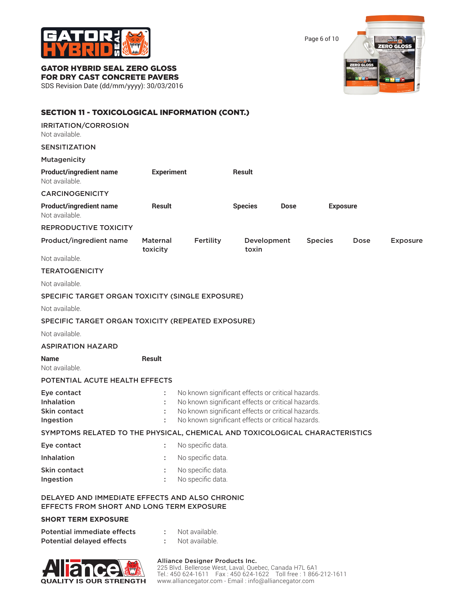

Page 6 of 10



# GATOR HYBRID SEAL ZERO GLOSS

FOR DRY CAST CONCRETE PAVERS

SDS Revision Date (dd/mm/yyyy): 30/03/2016

| <b>SECTION 11 - TOXICOLOGICAL INFORMATION (CONT.)</b>                                              |                             |                                                                                                                                                                                                                  |                      |             |                |                 |                 |
|----------------------------------------------------------------------------------------------------|-----------------------------|------------------------------------------------------------------------------------------------------------------------------------------------------------------------------------------------------------------|----------------------|-------------|----------------|-----------------|-----------------|
| IRRITATION/CORROSION<br>Not available.                                                             |                             |                                                                                                                                                                                                                  |                      |             |                |                 |                 |
| <b>SENSITIZATION</b>                                                                               |                             |                                                                                                                                                                                                                  |                      |             |                |                 |                 |
| <b>Mutagenicity</b>                                                                                |                             |                                                                                                                                                                                                                  |                      |             |                |                 |                 |
| <b>Product/ingredient name</b><br>Not available.                                                   | <b>Experiment</b>           |                                                                                                                                                                                                                  | <b>Result</b>        |             |                |                 |                 |
| <b>CARCINOGENICITY</b>                                                                             |                             |                                                                                                                                                                                                                  |                      |             |                |                 |                 |
| <b>Product/ingredient name</b><br>Not available.                                                   | Result                      |                                                                                                                                                                                                                  | <b>Species</b>       | <b>Dose</b> |                | <b>Exposure</b> |                 |
| <b>REPRODUCTIVE TOXICITY</b>                                                                       |                             |                                                                                                                                                                                                                  |                      |             |                |                 |                 |
| Product/ingredient name                                                                            | <b>Maternal</b><br>toxicity | Fertility                                                                                                                                                                                                        | Development<br>toxin |             | <b>Species</b> | Dose            | <b>Exposure</b> |
| Not available.                                                                                     |                             |                                                                                                                                                                                                                  |                      |             |                |                 |                 |
| <b>TERATOGENICITY</b>                                                                              |                             |                                                                                                                                                                                                                  |                      |             |                |                 |                 |
| Not available.                                                                                     |                             |                                                                                                                                                                                                                  |                      |             |                |                 |                 |
| SPECIFIC TARGET ORGAN TOXICITY (SINGLE EXPOSURE)                                                   |                             |                                                                                                                                                                                                                  |                      |             |                |                 |                 |
| Not available.                                                                                     |                             |                                                                                                                                                                                                                  |                      |             |                |                 |                 |
| SPECIFIC TARGET ORGAN TOXICITY (REPEATED EXPOSURE)                                                 |                             |                                                                                                                                                                                                                  |                      |             |                |                 |                 |
| Not available.                                                                                     |                             |                                                                                                                                                                                                                  |                      |             |                |                 |                 |
| <b>ASPIRATION HAZARD</b>                                                                           |                             |                                                                                                                                                                                                                  |                      |             |                |                 |                 |
| <b>Name</b><br>Not available.                                                                      | <b>Result</b>               |                                                                                                                                                                                                                  |                      |             |                |                 |                 |
| POTENTIAL ACUTE HEALTH EFFECTS                                                                     |                             |                                                                                                                                                                                                                  |                      |             |                |                 |                 |
| Eye contact<br>Inhalation<br>Skin contact<br>Ingestion                                             | ÷                           | No known significant effects or critical hazards.<br>No known significant effects or critical hazards.<br>No known significant effects or critical hazards.<br>No known significant effects or critical hazards. |                      |             |                |                 |                 |
| SYMPTOMS RELATED TO THE PHYSICAL, CHEMICAL AND TOXICOLOGICAL CHARACTERISTICS                       |                             |                                                                                                                                                                                                                  |                      |             |                |                 |                 |
| Eye contact                                                                                        |                             | No specific data.                                                                                                                                                                                                |                      |             |                |                 |                 |
| <b>Inhalation</b>                                                                                  |                             | No specific data.                                                                                                                                                                                                |                      |             |                |                 |                 |
| Skin contact<br>Ingestion                                                                          |                             | No specific data.<br>No specific data.                                                                                                                                                                           |                      |             |                |                 |                 |
| DELAYED AND IMMEDIATE EFFECTS AND ALSO CHRONIC<br><b>EFFECTS FROM SHORT AND LONG TERM EXPOSURE</b> |                             |                                                                                                                                                                                                                  |                      |             |                |                 |                 |
| <b>SHORT TERM EXPOSURE</b>                                                                         |                             |                                                                                                                                                                                                                  |                      |             |                |                 |                 |
| Potential immediate effects<br><b>Potential delayed effects</b>                                    | ÷                           | Not available.<br>Not available.                                                                                                                                                                                 |                      |             |                |                 |                 |



#### Alliance Designer Products Inc.

225 Blvd. Bellerose West, Laval, Quebec, Canada H7L 6A1 Tel.: 450 624-1611 Fax : 450 624-1622 Toll free : 1 866-212-1611 www.alliancegator.com - Email : info@alliancegator.com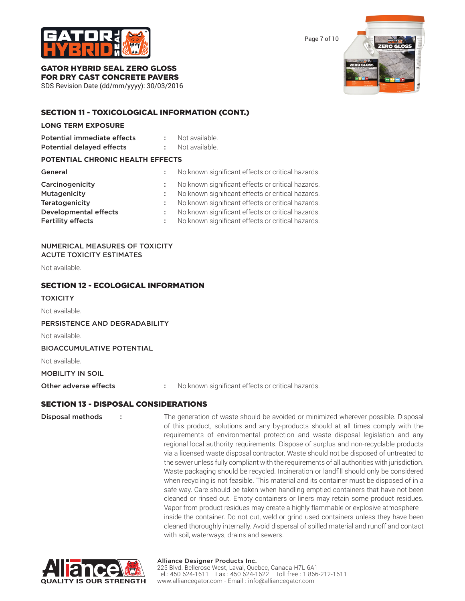

Page 7 of 10



#### GATOR HYBRID SEAL ZERO GLOSS FOR DRY CAST CONCRETE PAVERS

SDS Revision Date (dd/mm/yyyy): 30/03/2016

## SECTION 11 - TOXICOLOGICAL INFORMATION (CONT.)

#### **LONG TERM EXPOSURE**

| <b>Potential immediate effects</b>      |   | Not available.                                    |
|-----------------------------------------|---|---------------------------------------------------|
| <b>Potential delayed effects</b>        | ÷ | Not available.                                    |
| <b>POTENTIAL CHRONIC HEALTH EFFECTS</b> |   |                                                   |
| General                                 |   | No known significant effects or critical hazards. |
| Carcinogenicity                         | ÷ | No known significant effects or critical hazards. |
| Mutagenicity                            | ÷ | No known significant effects or critical hazards. |
| Teratogenicity                          | ÷ | No known significant effects or critical hazards. |
| <b>Developmental effects</b>            | ÷ | No known significant effects or critical hazards. |
| <b>Fertility effects</b>                |   | No known significant effects or critical hazards. |

#### NUMERICAL MEASURES OF TOXICITY ACUTE TOXICITY ESTIMATES

Not available.

## SECTION 12 - ECOLOGICAL INFORMATION

#### **TOXICITY**

Not available.

PERSISTENCE AND DEGRADABILITY

Not available.

#### BIOACCUMULATIVE POTENTIAL

Not available.

## MOBILITY IN SOIL

Other adverse effects : No known significant effects or critical hazards.

## SECTION 13 - DISPOSAL CONSIDERATIONS

Disposal methods : The generation of waste should be avoided or minimized wherever possible. Disposal of this product, solutions and any by-products should at all times comply with the requirements of environmental protection and waste disposal legislation and any regional local authority requirements. Dispose of surplus and non-recyclable products via a licensed waste disposal contractor. Waste should not be disposed of untreated to the sewer unless fully compliant with the requirements of all authorities with jurisdiction. Waste packaging should be recycled. Incineration or landfill should only be considered when recycling is not feasible. This material and its container must be disposed of in a safe way. Care should be taken when handling emptied containers that have not been cleaned or rinsed out. Empty containers or liners may retain some product residues. Vapor from product residues may create a highly flammable or explosive atmosphere inside the container. Do not cut, weld or grind used containers unless they have been cleaned thoroughly internally. Avoid dispersal of spilled material and runoff and contact with soil, waterways, drains and sewers.



#### Alliance Designer Products Inc. 225 Blvd. Bellerose West, Laval, Quebec, Canada H7L 6A1 Tel.: 450 624-1611 Fax : 450 624-1622 Toll free : 1 866-212-1611 www.alliancegator.com - Email : info@alliancegator.com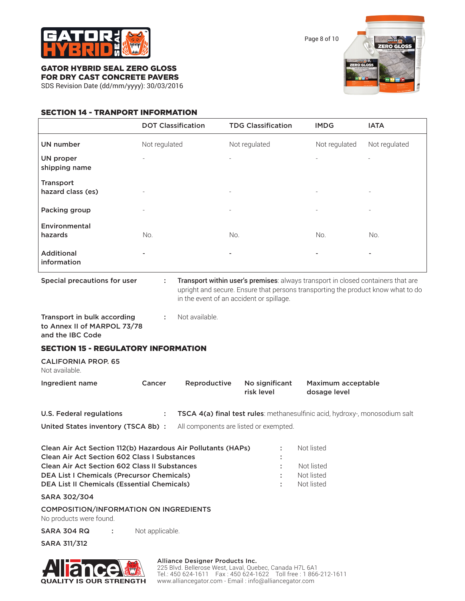

Page 8 of 10



## GATOR HYBRID SEAL ZERO GLOSS FOR DRY CAST CONCRETE PAVERS

SDS Revision Date (dd/mm/yyyy): 30/03/2016

## SECTION 14 - TRANPORT INFORMATION

|                                   | <b>DOT Classification</b> | <b>TDG Classification</b> | <b>IMDG</b>              | <b>IATA</b>              |
|-----------------------------------|---------------------------|---------------------------|--------------------------|--------------------------|
| <b>UN number</b>                  | Not regulated             | Not regulated             | Not regulated            | Not regulated            |
| <b>UN proper</b><br>shipping name | $\overline{\phantom{0}}$  |                           | ٠                        | ٠                        |
| Transport<br>hazard class (es)    | -                         | $\overline{\phantom{a}}$  | $\overline{\phantom{a}}$ | $\overline{\phantom{a}}$ |
| Packing group                     | $\overline{\phantom{0}}$  | $\overline{\phantom{a}}$  | -                        | $\overline{\phantom{m}}$ |
| Environmental<br>hazards          | No.                       | No.                       | No.                      | No.                      |
| <b>Additional</b><br>information  | -                         | $\blacksquare$            | $\overline{\phantom{a}}$ |                          |

Special precautions for user : Transport within user's premises: always transport in closed containers that are upright and secure. Ensure that persons transporting the product know what to do in the event of an accident or spillage.

Transport in bulk according : Not available. to Annex II of MARPOL 73/78 and the IBC Code

## SECTION 15 - REGULATORY INFORMATION

CALIFORNIA PROP. 65 Not available.

| Ingredient name | Cancer | Reproductive | No significant | Maximum acceptable |
|-----------------|--------|--------------|----------------|--------------------|
|                 |        |              | risk level     | dosage level       |

| U.S. Federal regulations          | <b>TSCA 4(a) final test rules</b> : methanesulfinic acid, hydroxy-, monosodium salt |
|-----------------------------------|-------------------------------------------------------------------------------------|
| United States inventory (TSCA 8b) | All components are listed or exempted.                                              |

| Clean Air Act Section 112(b) Hazardous Air Pollutants (HAPs)<br><b>Clean Air Act Section 602 Class I Substances</b><br><b>Clean Air Act Section 602 Class II Substances</b><br><b>DEA List I Chemicals (Precursor Chemicals)</b><br><b>DEA List II Chemicals (Essential Chemicals)</b> | -11 | Not listed<br>Not listed<br>Not listed<br>Not listed |
|----------------------------------------------------------------------------------------------------------------------------------------------------------------------------------------------------------------------------------------------------------------------------------------|-----|------------------------------------------------------|
|                                                                                                                                                                                                                                                                                        |     |                                                      |

SARA 302/304

COMPOSITION/INFORMATION ON INGREDIENTS

No products were found.

SARA 304 RQ : Not applicable.

SARA 311/312



#### Alliance Designer Products Inc.

225 Blvd. Bellerose West, Laval, Quebec, Canada H7L 6A1 Tel.: 450 624-1611 Fax : 450 624-1622 Toll free : 1 866-212-1611 www.alliancegator.com - Email : info@alliancegator.com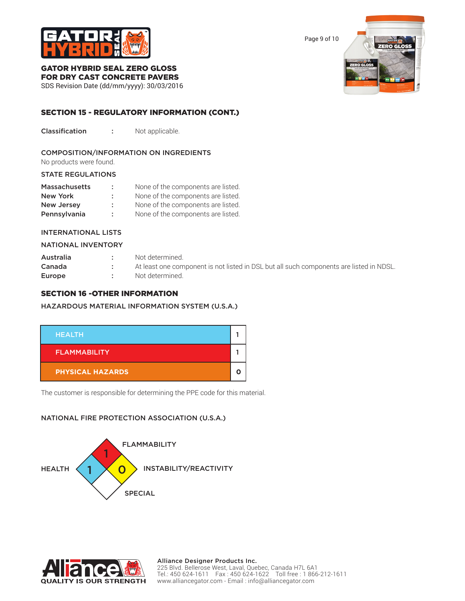

Page 9 of 10



## GATOR HYBRID SEAL ZERO GLOSS FOR DRY CAST CONCRETE PAVERS

SDS Revision Date (dd/mm/yyyy): 30/03/2016

## SECTION 15 - REGULATORY INFORMATION (CONT.)

Classification : Not applicable.

## COMPOSITION/INFORMATION ON INGREDIENTS

No products were found.

#### STATE REGULATIONS

| <b>Massachusetts</b> | ÷. | None of the components are listed. |
|----------------------|----|------------------------------------|
| New York             | ÷. | None of the components are listed. |
| <b>New Jersey</b>    | ÷. | None of the components are listed. |
| Pennsylvania         | ÷  | None of the components are listed. |

#### INTERNATIONAL LISTS

#### NATIONAL INVENTORY

| Australia | Not determined.                                                                         |
|-----------|-----------------------------------------------------------------------------------------|
| Canada    | At least one component is not listed in DSL but all such components are listed in NDSL. |
| Europe    | Not determined.                                                                         |

## SECTION 16 -OTHER INFORMATION

#### HAZARDOUS MATERIAL INFORMATION SYSTEM (U.S.A.)



The customer is responsible for determining the PPE code for this material.

## NATIONAL FIRE PROTECTION ASSOCIATION (U.S.A.)